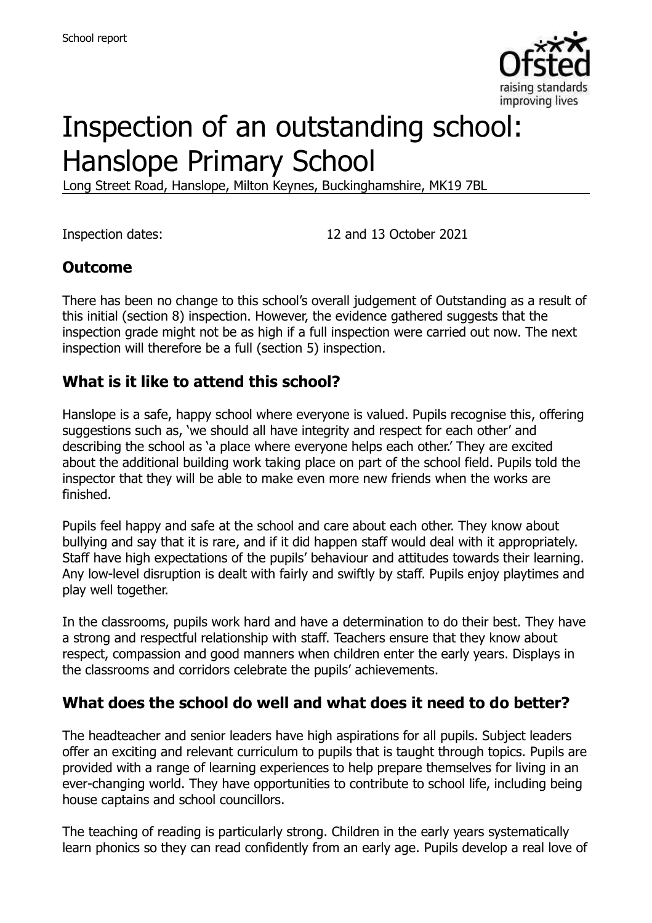

# Inspection of an outstanding school: Hanslope Primary School

Long Street Road, Hanslope, Milton Keynes, Buckinghamshire, MK19 7BL

Inspection dates: 12 and 13 October 2021

### **Outcome**

There has been no change to this school's overall judgement of Outstanding as a result of this initial (section 8) inspection. However, the evidence gathered suggests that the inspection grade might not be as high if a full inspection were carried out now. The next inspection will therefore be a full (section 5) inspection.

### **What is it like to attend this school?**

Hanslope is a safe, happy school where everyone is valued. Pupils recognise this, offering suggestions such as, 'we should all have integrity and respect for each other' and describing the school as 'a place where everyone helps each other.' They are excited about the additional building work taking place on part of the school field. Pupils told the inspector that they will be able to make even more new friends when the works are finished.

Pupils feel happy and safe at the school and care about each other. They know about bullying and say that it is rare, and if it did happen staff would deal with it appropriately. Staff have high expectations of the pupils' behaviour and attitudes towards their learning. Any low-level disruption is dealt with fairly and swiftly by staff. Pupils enjoy playtimes and play well together.

In the classrooms, pupils work hard and have a determination to do their best. They have a strong and respectful relationship with staff. Teachers ensure that they know about respect, compassion and good manners when children enter the early years. Displays in the classrooms and corridors celebrate the pupils' achievements.

# **What does the school do well and what does it need to do better?**

The headteacher and senior leaders have high aspirations for all pupils. Subject leaders offer an exciting and relevant curriculum to pupils that is taught through topics. Pupils are provided with a range of learning experiences to help prepare themselves for living in an ever-changing world. They have opportunities to contribute to school life, including being house captains and school councillors.

The teaching of reading is particularly strong. Children in the early years systematically learn phonics so they can read confidently from an early age. Pupils develop a real love of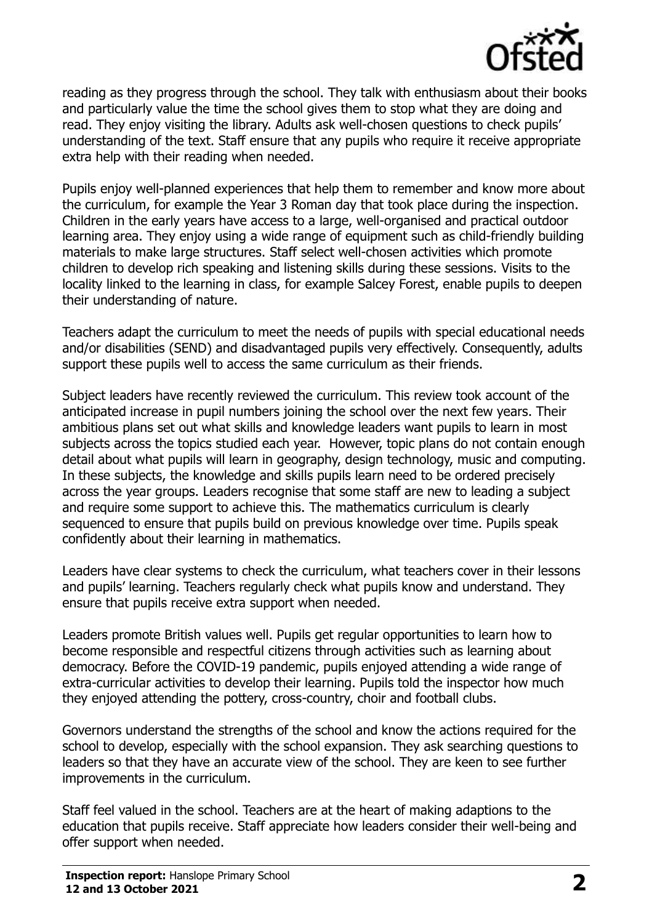

reading as they progress through the school. They talk with enthusiasm about their books and particularly value the time the school gives them to stop what they are doing and read. They enjoy visiting the library. Adults ask well-chosen questions to check pupils' understanding of the text. Staff ensure that any pupils who require it receive appropriate extra help with their reading when needed.

Pupils enjoy well-planned experiences that help them to remember and know more about the curriculum, for example the Year 3 Roman day that took place during the inspection. Children in the early years have access to a large, well-organised and practical outdoor learning area. They enjoy using a wide range of equipment such as child-friendly building materials to make large structures. Staff select well-chosen activities which promote children to develop rich speaking and listening skills during these sessions. Visits to the locality linked to the learning in class, for example Salcey Forest, enable pupils to deepen their understanding of nature.

Teachers adapt the curriculum to meet the needs of pupils with special educational needs and/or disabilities (SEND) and disadvantaged pupils very effectively. Consequently, adults support these pupils well to access the same curriculum as their friends.

Subject leaders have recently reviewed the curriculum. This review took account of the anticipated increase in pupil numbers joining the school over the next few years. Their ambitious plans set out what skills and knowledge leaders want pupils to learn in most subjects across the topics studied each year. However, topic plans do not contain enough detail about what pupils will learn in geography, design technology, music and computing. In these subjects, the knowledge and skills pupils learn need to be ordered precisely across the year groups. Leaders recognise that some staff are new to leading a subject and require some support to achieve this. The mathematics curriculum is clearly sequenced to ensure that pupils build on previous knowledge over time. Pupils speak confidently about their learning in mathematics.

Leaders have clear systems to check the curriculum, what teachers cover in their lessons and pupils' learning. Teachers regularly check what pupils know and understand. They ensure that pupils receive extra support when needed.

Leaders promote British values well. Pupils get regular opportunities to learn how to become responsible and respectful citizens through activities such as learning about democracy. Before the COVID-19 pandemic, pupils enjoyed attending a wide range of extra-curricular activities to develop their learning. Pupils told the inspector how much they enjoyed attending the pottery, cross-country, choir and football clubs.

Governors understand the strengths of the school and know the actions required for the school to develop, especially with the school expansion. They ask searching questions to leaders so that they have an accurate view of the school. They are keen to see further improvements in the curriculum.

Staff feel valued in the school. Teachers are at the heart of making adaptions to the education that pupils receive. Staff appreciate how leaders consider their well-being and offer support when needed.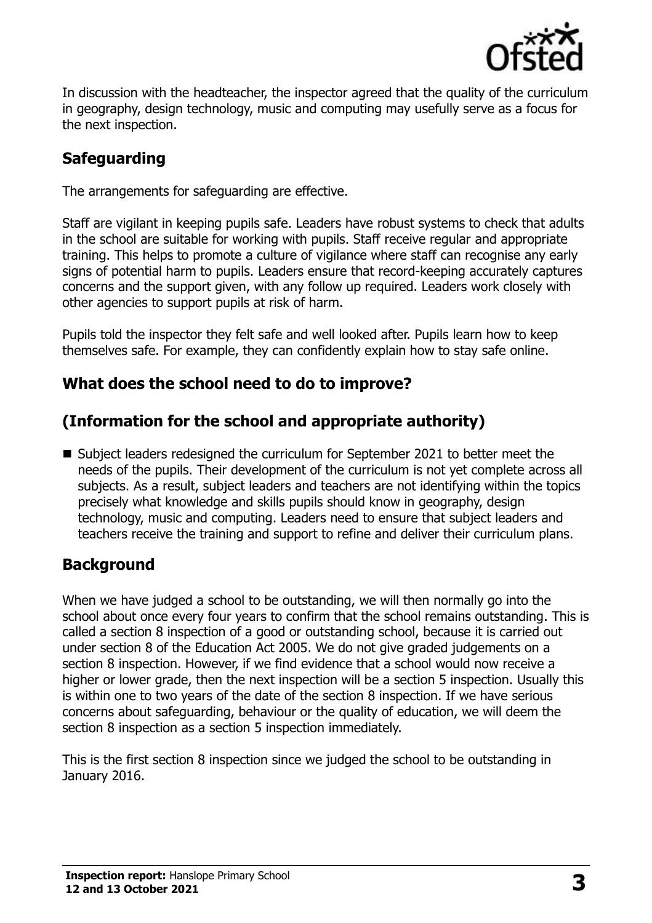

In discussion with the headteacher, the inspector agreed that the quality of the curriculum in geography, design technology, music and computing may usefully serve as a focus for the next inspection.

# **Safeguarding**

The arrangements for safeguarding are effective.

Staff are vigilant in keeping pupils safe. Leaders have robust systems to check that adults in the school are suitable for working with pupils. Staff receive regular and appropriate training. This helps to promote a culture of vigilance where staff can recognise any early signs of potential harm to pupils. Leaders ensure that record-keeping accurately captures concerns and the support given, with any follow up required. Leaders work closely with other agencies to support pupils at risk of harm.

Pupils told the inspector they felt safe and well looked after. Pupils learn how to keep themselves safe. For example, they can confidently explain how to stay safe online.

# **What does the school need to do to improve?**

# **(Information for the school and appropriate authority)**

■ Subject leaders redesigned the curriculum for September 2021 to better meet the needs of the pupils. Their development of the curriculum is not yet complete across all subjects. As a result, subject leaders and teachers are not identifying within the topics precisely what knowledge and skills pupils should know in geography, design technology, music and computing. Leaders need to ensure that subject leaders and teachers receive the training and support to refine and deliver their curriculum plans.

# **Background**

When we have judged a school to be outstanding, we will then normally go into the school about once every four years to confirm that the school remains outstanding. This is called a section 8 inspection of a good or outstanding school, because it is carried out under section 8 of the Education Act 2005. We do not give graded judgements on a section 8 inspection. However, if we find evidence that a school would now receive a higher or lower grade, then the next inspection will be a section 5 inspection. Usually this is within one to two years of the date of the section 8 inspection. If we have serious concerns about safeguarding, behaviour or the quality of education, we will deem the section 8 inspection as a section 5 inspection immediately.

This is the first section 8 inspection since we judged the school to be outstanding in January 2016.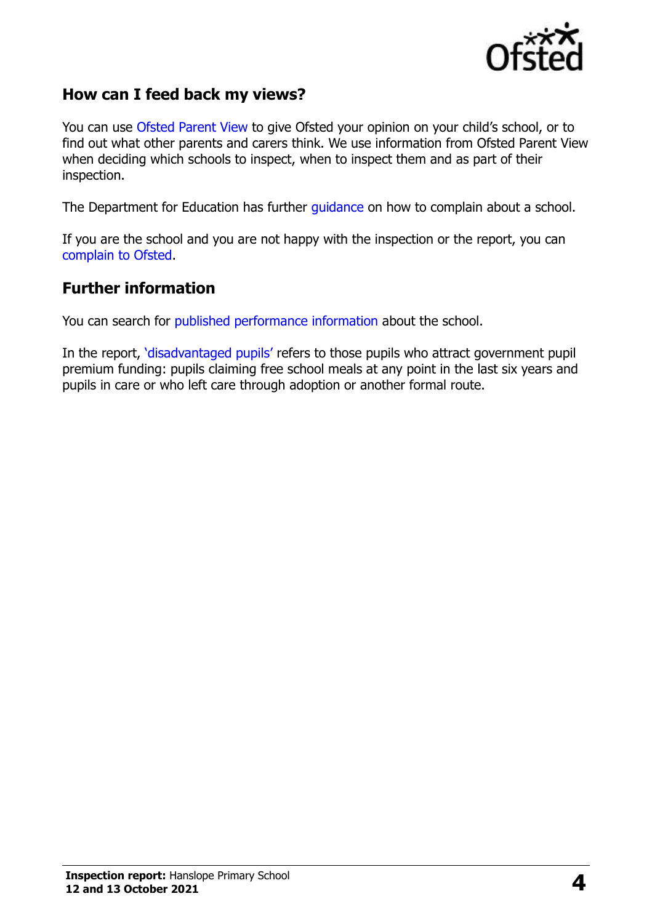

#### **How can I feed back my views?**

You can use [Ofsted Parent View](https://parentview.ofsted.gov.uk/) to give Ofsted your opinion on your child's school, or to find out what other parents and carers think. We use information from Ofsted Parent View when deciding which schools to inspect, when to inspect them and as part of their inspection.

The Department for Education has further [guidance](http://www.gov.uk/complain-about-school) on how to complain about a school.

If you are the school and you are not happy with the inspection or the report, you can [complain to Ofsted.](https://www.gov.uk/complain-ofsted-report)

#### **Further information**

You can search for [published performance information](http://www.compare-school-performance.service.gov.uk/) about the school.

In the report, '[disadvantaged pupils](http://www.gov.uk/guidance/pupil-premium-information-for-schools-and-alternative-provision-settings)' refers to those pupils who attract government pupil premium funding: pupils claiming free school meals at any point in the last six years and pupils in care or who left care through adoption or another formal route.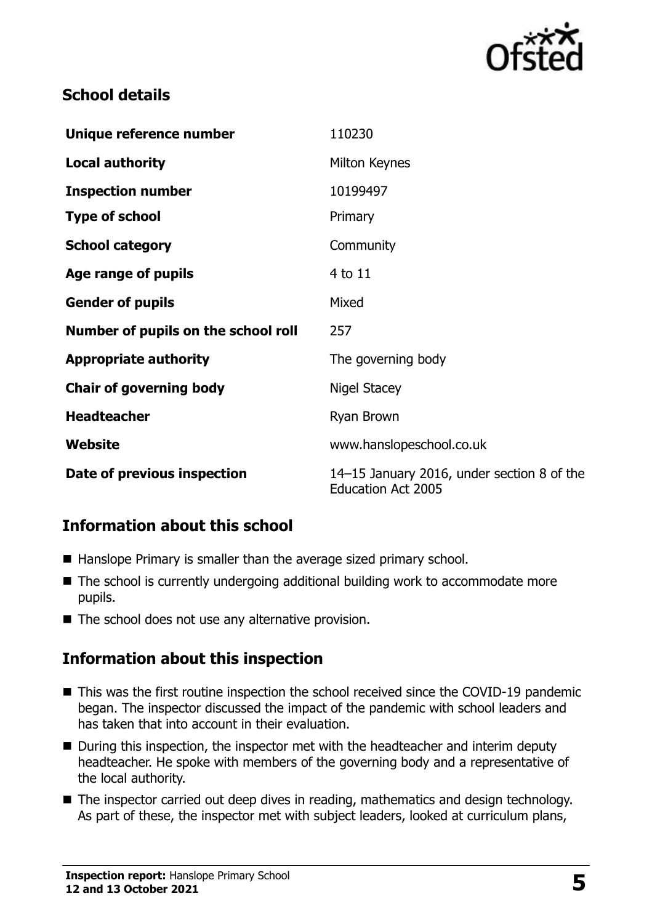

### **School details**

| Unique reference number             | 110230                                                                  |
|-------------------------------------|-------------------------------------------------------------------------|
| <b>Local authority</b>              | Milton Keynes                                                           |
| <b>Inspection number</b>            | 10199497                                                                |
| <b>Type of school</b>               | Primary                                                                 |
| <b>School category</b>              | Community                                                               |
| Age range of pupils                 | 4 to 11                                                                 |
| <b>Gender of pupils</b>             | Mixed                                                                   |
| Number of pupils on the school roll | 257                                                                     |
| <b>Appropriate authority</b>        | The governing body                                                      |
| <b>Chair of governing body</b>      | Nigel Stacey                                                            |
| <b>Headteacher</b>                  | Ryan Brown                                                              |
| Website                             | www.hanslopeschool.co.uk                                                |
| Date of previous inspection         | 14-15 January 2016, under section 8 of the<br><b>Education Act 2005</b> |

# **Information about this school**

- Hanslope Primary is smaller than the average sized primary school.
- The school is currently undergoing additional building work to accommodate more pupils.
- The school does not use any alternative provision.

#### **Information about this inspection**

- This was the first routine inspection the school received since the COVID-19 pandemic began. The inspector discussed the impact of the pandemic with school leaders and has taken that into account in their evaluation.
- During this inspection, the inspector met with the headteacher and interim deputy headteacher. He spoke with members of the governing body and a representative of the local authority.
- The inspector carried out deep dives in reading, mathematics and design technology. As part of these, the inspector met with subject leaders, looked at curriculum plans,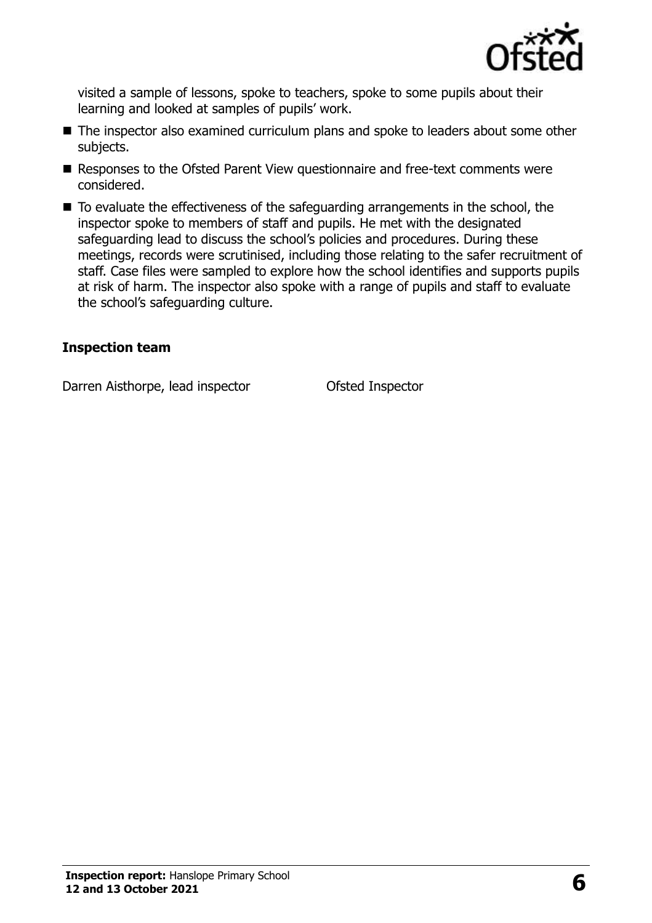

visited a sample of lessons, spoke to teachers, spoke to some pupils about their learning and looked at samples of pupils' work.

- The inspector also examined curriculum plans and spoke to leaders about some other subjects.
- Responses to the Ofsted Parent View questionnaire and free-text comments were considered.
- To evaluate the effectiveness of the safeguarding arrangements in the school, the inspector spoke to members of staff and pupils. He met with the designated safeguarding lead to discuss the school's policies and procedures. During these meetings, records were scrutinised, including those relating to the safer recruitment of staff. Case files were sampled to explore how the school identifies and supports pupils at risk of harm. The inspector also spoke with a range of pupils and staff to evaluate the school's safeguarding culture.

#### **Inspection team**

Darren Aisthorpe, lead inspector **Ofsted Inspector**